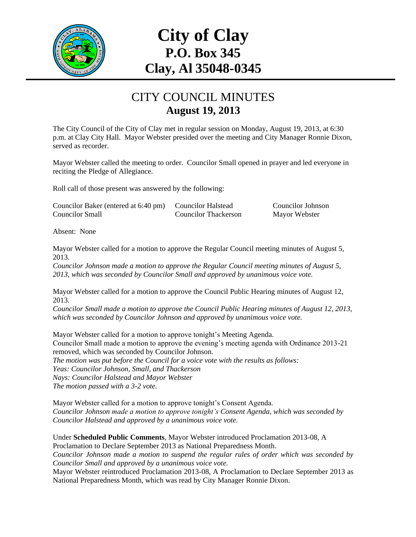

# **City of Clay P.O. Box 345 Clay, Al 35048-0345**

#### CITY COUNCIL MINUTES **August 19, 2013**

The City Council of the City of Clay met in regular session on Monday, August 19, 2013, at 6:30 p.m. at Clay City Hall. Mayor Webster presided over the meeting and City Manager Ronnie Dixon, served as recorder.

Mayor Webster called the meeting to order. Councilor Small opened in prayer and led everyone in reciting the Pledge of Allegiance.

Roll call of those present was answered by the following:

| Councilor Baker (entered at 6:40 pm) | <b>Councilor Halstead</b> | <b>Councilor Johnson</b> |
|--------------------------------------|---------------------------|--------------------------|
| Councilor Small                      | Councilor Thackerson      | Mayor Webster            |

Absent: None

Mayor Webster called for a motion to approve the Regular Council meeting minutes of August 5, 2013.

*Councilor Johnson made a motion to approve the Regular Council meeting minutes of August 5, 2013, which was seconded by Councilor Small and approved by unanimous voice vote.*

Mayor Webster called for a motion to approve the Council Public Hearing minutes of August 12, 2013.

*Councilor Small made a motion to approve the Council Public Hearing minutes of August 12, 2013, which was seconded by Councilor Johnson and approved by unanimous voice vote.*

Mayor Webster called for a motion to approve tonight's Meeting Agenda. Councilor Small made a motion to approve the evening's meeting agenda with Ordinance 2013-21 removed, which was seconded by Councilor Johnson. *The motion was put before the Council for a voice vote with the results as follows: Yeas: Councilor Johnson, Small, and Thackerson Nays: Councilor Halstead and Mayor Webster The motion passed with a 3-2 vote.*

Mayor Webster called for a motion to approve tonight's Consent Agenda. *Councilor Johnson made a motion to approve tonight's Consent Agenda, which was seconded by Councilor Halstead and approved by a unanimous voice vote.*

Under **Scheduled Public Comments**, Mayor Webster introduced Proclamation 2013-08, A Proclamation to Declare September 2013 as National Preparedness Month. *Councilor Johnson made a motion to suspend the regular rules of order which was seconded by Councilor Small and approved by a unanimous voice vote.* Mayor Webster reintroduced Proclamation 2013-08, A Proclamation to Declare September 2013 as National Preparedness Month, which was read by City Manager Ronnie Dixon.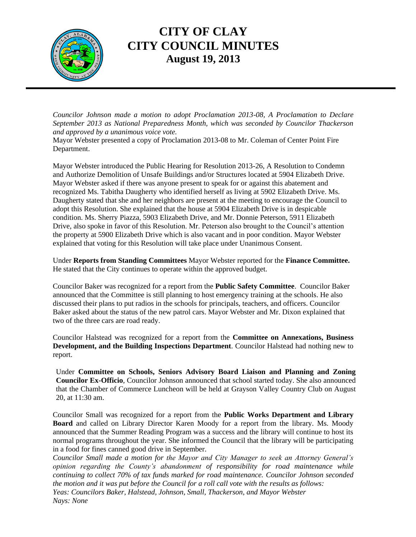

## **CITY OF CLAY CITY COUNCIL MINUTES August 19, 2013**

*Councilor Johnson made a motion to adopt Proclamation 2013-08, A Proclamation to Declare September 2013 as National Preparedness Month, which was seconded by Councilor Thackerson and approved by a unanimous voice vote.*

Mayor Webster presented a copy of Proclamation 2013-08 to Mr. Coleman of Center Point Fire Department.

Mayor Webster introduced the Public Hearing for Resolution 2013-26, A Resolution to Condemn and Authorize Demolition of Unsafe Buildings and/or Structures located at 5904 Elizabeth Drive. Mayor Webster asked if there was anyone present to speak for or against this abatement and recognized Ms. Tabitha Daugherty who identified herself as living at 5902 Elizabeth Drive. Ms. Daugherty stated that she and her neighbors are present at the meeting to encourage the Council to adopt this Resolution. She explained that the house at 5904 Elizabeth Drive is in despicable condition. Ms. Sherry Piazza, 5903 Elizabeth Drive, and Mr. Donnie Peterson, 5911 Elizabeth Drive, also spoke in favor of this Resolution. Mr. Peterson also brought to the Council's attention the property at 5900 Elizabeth Drive which is also vacant and in poor condition. Mayor Webster explained that voting for this Resolution will take place under Unanimous Consent.

Under **Reports from Standing Committees** Mayor Webster reported for the **Finance Committee.** He stated that the City continues to operate within the approved budget.

Councilor Baker was recognized for a report from the **Public Safety Committee**. Councilor Baker announced that the Committee is still planning to host emergency training at the schools. He also discussed their plans to put radios in the schools for principals, teachers, and officers. Councilor Baker asked about the status of the new patrol cars. Mayor Webster and Mr. Dixon explained that two of the three cars are road ready.

Councilor Halstead was recognized for a report from the **Committee on Annexations, Business Development, and the Building Inspections Department**. Councilor Halstead had nothing new to report.

Under **Committee on Schools, Seniors Advisory Board Liaison and Planning and Zoning Councilor Ex-Officio**, Councilor Johnson announced that school started today. She also announced that the Chamber of Commerce Luncheon will be held at Grayson Valley Country Club on August 20, at 11:30 am.

Councilor Small was recognized for a report from the **Public Works Department and Library Board** and called on Library Director Karen Moody for a report from the library. Ms. Moody announced that the Summer Reading Program was a success and the library will continue to host its normal programs throughout the year. She informed the Council that the library will be participating in a food for fines canned good drive in September.

*Councilor Small made a motion for the Mayor and City Manager to seek an Attorney General's opinion regarding the County's abandonment of responsibility for road maintenance while continuing to collect 70% of tax funds marked for road maintenance. Councilor Johnson seconded the motion and it was put before the Council for a roll call vote with the results as follows: Yeas: Councilors Baker, Halstead, Johnson, Small, Thackerson, and Mayor Webster Nays: None*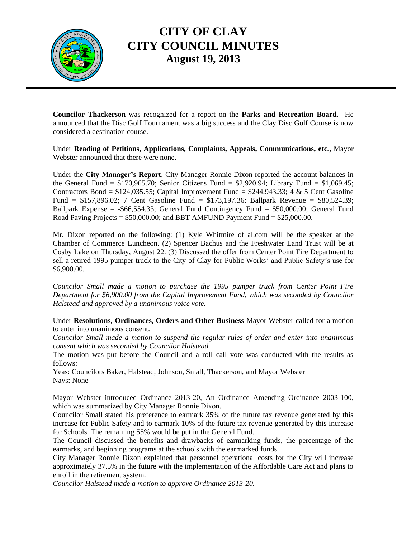

## **CITY OF CLAY CITY COUNCIL MINUTES August 19, 2013**

**Councilor Thackerson** was recognized for a report on the **Parks and Recreation Board.** He announced that the Disc Golf Tournament was a big success and the Clay Disc Golf Course is now considered a destination course.

Under **Reading of Petitions, Applications, Complaints, Appeals, Communications, etc.,** Mayor Webster announced that there were none.

Under the **City Manager's Report**, City Manager Ronnie Dixon reported the account balances in the General Fund =  $$170,965.70$ ; Senior Citizens Fund =  $$2,920.94$ ; Library Fund =  $$1,069.45$ ; Contractors Bond =  $$124,035.55$ ; Capital Improvement Fund =  $$244,943.33$ ; 4 & 5 Cent Gasoline Fund = \$157,896.02; 7 Cent Gasoline Fund = \$173,197.36; Ballpark Revenue = \$80,524.39; Ballpark Expense =  $-$ \$66,554.33; General Fund Contingency Fund = \$50,000.00; General Fund Road Paving Projects =  $$50,000.00$ ; and BBT AMFUND Payment Fund =  $$25,000.00$ .

Mr. Dixon reported on the following: (1) Kyle Whitmire of al.com will be the speaker at the Chamber of Commerce Luncheon. (2) Spencer Bachus and the Freshwater Land Trust will be at Cosby Lake on Thursday, August 22. (3) Discussed the offer from Center Point Fire Department to sell a retired 1995 pumper truck to the City of Clay for Public Works' and Public Safety's use for \$6,900.00.

*Councilor Small made a motion to purchase the 1995 pumper truck from Center Point Fire Department for \$6,900.00 from the Capital Improvement Fund, which was seconded by Councilor Halstead and approved by a unanimous voice vote.*

Under **Resolutions, Ordinances, Orders and Other Business** Mayor Webster called for a motion to enter into unanimous consent.

*Councilor Small made a motion to suspend the regular rules of order and enter into unanimous consent which was seconded by Councilor Halstead.*

The motion was put before the Council and a roll call vote was conducted with the results as follows:

Yeas: Councilors Baker, Halstead, Johnson, Small, Thackerson, and Mayor Webster Nays: None

Mayor Webster introduced Ordinance 2013-20, An Ordinance Amending Ordinance 2003-100, which was summarized by City Manager Ronnie Dixon.

Councilor Small stated his preference to earmark 35% of the future tax revenue generated by this increase for Public Safety and to earmark 10% of the future tax revenue generated by this increase for Schools. The remaining 55% would be put in the General Fund.

The Council discussed the benefits and drawbacks of earmarking funds, the percentage of the earmarks, and beginning programs at the schools with the earmarked funds.

City Manager Ronnie Dixon explained that personnel operational costs for the City will increase approximately 37.5% in the future with the implementation of the Affordable Care Act and plans to enroll in the retirement system.

*Councilor Halstead made a motion to approve Ordinance 2013-20.*